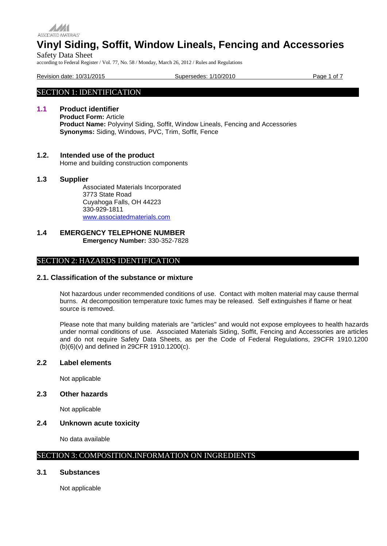

Safety Data Sheet according to Federal Register / Vol. 77, No. 58 / Monday, March 26, 2012 / Rules and Regulations

Revision date: 10/31/2015 Supersedes: 1/10/2010 Page 1 of 7

# SECTION 1: IDENTIFICATION

# **1.1 Product identifier**

**Product Form:** Article **Product Name:** Polyvinyl Siding, Soffit, Window Lineals, Fencing and Accessories **Synonyms:** Siding, Windows, PVC, Trim, Soffit, Fence

# **1.2. Intended use of the product**

Home and building construction components

# **1.3 Supplier**

Associated Materials Incorporated 3773 State Road Cuyahoga Falls, OH 44223 330-929-1811 [www.associatedmaterials.com](http://www.associatedmaterials.com/)

# **1.4 EMERGENCY TELEPHONE NUMBER Emergency Number:** 330-352-7828

# SECTION 2: HAZARDS IDENTIFICATION

# **2.1. Classification of the substance or mixture**

Not hazardous under recommended conditions of use. Contact with molten material may cause thermal burns. At decomposition temperature toxic fumes may be released. Self extinguishes if flame or heat source is removed.

Please note that many building materials are "articles" and would not expose employees to health hazards under normal conditions of use. Associated Materials Siding, Soffit, Fencing and Accessories are articles and do not require Safety Data Sheets, as per the Code of Federal Regulations, 29CFR 1910.1200 (b)(6)(v) and defined in 29CFR 1910.1200(c).

# **2.2 Label elements**

Not applicable

# **2.3 Other hazards**

Not applicable

# **2.4 Unknown acute toxicity**

No data available

# SECTION 3: COMPOSITION.INFORMATION ON INGREDIENTS

# **3.1 Substances**

Not applicable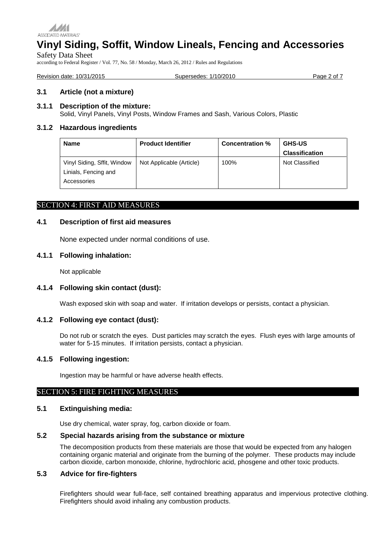

# **Vinyl Siding, Soffit, Window Lineals, Fencing and Accessories** Safety Data Sheet

according to Federal Register / Vol. 77, No. 58 / Monday, March 26, 2012 / Rules and Regulations

| Revision date: 10/31/2015 | Supersedes: 1/10/2010 | Page 2 of |
|---------------------------|-----------------------|-----------|
|                           |                       |           |

# **3.1 Article (not a mixture)**

#### **3.1.1 Description of the mixture:**

Solid, Vinyl Panels, Vinyl Posts, Window Frames and Sash, Various Colors, Plastic

# **3.1.2 Hazardous ingredients**

| <b>Name</b>                                                        | <b>Product Identifier</b> | <b>Concentration %</b> | <b>GHS-US</b>         |
|--------------------------------------------------------------------|---------------------------|------------------------|-----------------------|
|                                                                    |                           |                        | <b>Classification</b> |
| Vinyl Siding, Sffit, Window<br>Linials, Fencing and<br>Accessories | Not Applicable (Article)  | 100%                   | Not Classified        |

# SECTION 4: FIRST AID MEASURES

#### **4.1 Description of first aid measures**

None expected under normal conditions of use.

# **4.1.1 Following inhalation:**

Not applicable

# **4.1.4 Following skin contact (dust):**

Wash exposed skin with soap and water. If irritation develops or persists, contact a physician.

#### **4.1.2 Following eye contact (dust):**

Do not rub or scratch the eyes. Dust particles may scratch the eyes. Flush eyes with large amounts of water for 5-15 minutes. If irritation persists, contact a physician.

#### **4.1.5 Following ingestion:**

Ingestion may be harmful or have adverse health effects.

#### SECTION 5: FIRE FIGHTING MEASURES

# **5.1 Extinguishing media:**

Use dry chemical, water spray, fog, carbon dioxide or foam.

# **5.2 Special hazards arising from the substance or mixture**

The decomposition products from these materials are those that would be expected from any halogen containing organic material and originate from the burning of the polymer. These products may include carbon dioxide, carbon monoxide, chlorine, hydrochloric acid, phosgene and other toxic products.

# **5.3 Advice for fire-fighters**

Firefighters should wear full-face, self contained breathing apparatus and impervious protective clothing. Firefighters should avoid inhaling any combustion products.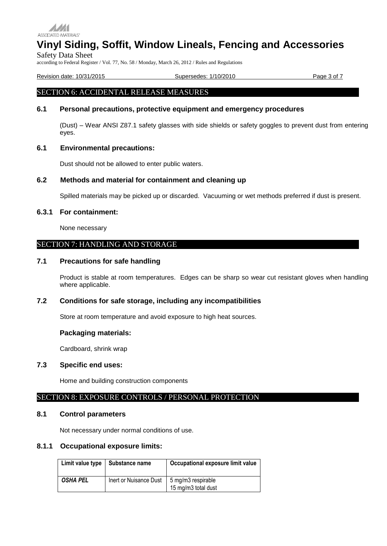

Safety Data Sheet

according to Federal Register / Vol. 77, No. 58 / Monday, March 26, 2012 / Rules and Regulations

Revision date: 10/31/2015 Supersedes: 1/10/2010 Page 3 of 7

# SECTION 6: ACCIDENTAL RELEASE MEASURES

# **6.1 Personal precautions, protective equipment and emergency procedures**

(Dust) – Wear ANSI Z87.1 safety glasses with side shields or safety goggles to prevent dust from entering eyes.

#### **6.1 Environmental precautions:**

Dust should not be allowed to enter public waters.

# **6.2 Methods and material for containment and cleaning up**

Spilled materials may be picked up or discarded. Vacuuming or wet methods preferred if dust is present.

#### **6.3.1 For containment:**

None necessary

# SECTION 7: HANDLING AND STORAGE

# **7.1 Precautions for safe handling**

Product is stable at room temperatures. Edges can be sharp so wear cut resistant gloves when handling where applicable.

# **7.2 Conditions for safe storage, including any incompatibilities**

Store at room temperature and avoid exposure to high heat sources.

#### **Packaging materials:**

Cardboard, shrink wrap

# **7.3 Specific end uses:**

Home and building construction components

#### SECTION 8: EXPOSURE CONTROLS / PERSONAL PROTECTION

#### **8.1 Control parameters**

Not necessary under normal conditions of use.

# **8.1.1 Occupational exposure limits:**

| Limit value type | Substance name         | Occupational exposure limit value         |
|------------------|------------------------|-------------------------------------------|
| <b>OSHA PEL</b>  | Inert or Nuisance Dust | 5 mg/m3 respirable<br>15 mg/m3 total dust |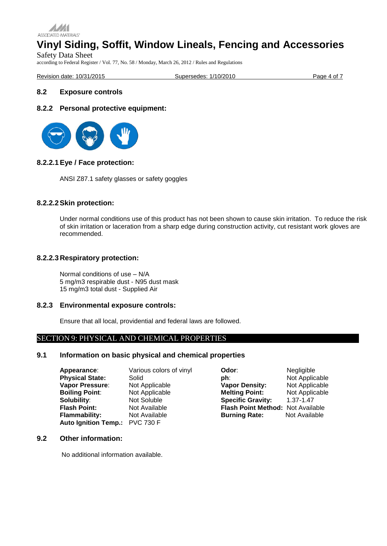

# **Vinyl Siding, Soffit, Window Lineals, Fencing and Accessories** Safety Data Sheet

according to Federal Register / Vol. 77, No. 58 / Monday, March 26, 2012 / Rules and Regulations

Revision date: 10/31/2015 Supersedes: 1/10/2010 Page 4 of 7

# **8.2 Exposure controls**

# **8.2.2 Personal protective equipment:**



# **8.2.2.1Eye / Face protection:**

ANSI Z87.1 safety glasses or safety goggles

# **8.2.2.2Skin protection:**

Under normal conditions use of this product has not been shown to cause skin irritation. To reduce the risk of skin irritation or laceration from a sharp edge during construction activity, cut resistant work gloves are recommended.

# **8.2.2.3 Respiratory protection:**

Normal conditions of use – N/A 5 mg/m3 respirable dust - N95 dust mask 15 mg/m3 total dust - Supplied Air

#### **8.2.3 Environmental exposure controls:**

Ensure that all local, providential and federal laws are followed.

# SECTION 9: PHYSICAL AND CHEMICAL PROPERTIES

# **9.1 Information on basic physical and chemical properties**

| Appearance:                    | Various colors of vinyl | Odor:                             | Negligible     |
|--------------------------------|-------------------------|-----------------------------------|----------------|
| <b>Physical State:</b>         | Solid                   | ph:                               | Not Applicable |
| Vapor Pressure:                | Not Applicable          | <b>Vapor Density:</b>             | Not Applicable |
| <b>Boiling Point:</b>          | Not Applicable          | <b>Melting Point:</b>             | Not Applicable |
| Solubility:                    | Not Soluble             | <b>Specific Gravity:</b>          | 1.37-1.47      |
| <b>Flash Point:</b>            | Not Available           | Flash Point Method: Not Available |                |
| <b>Flammability:</b>           | Not Available           | <b>Burning Rate:</b>              | Not Available  |
| Auto Ignition Temp.: PVC 730 F |                         |                                   |                |

# **9.2 Other information:**

No additional information available.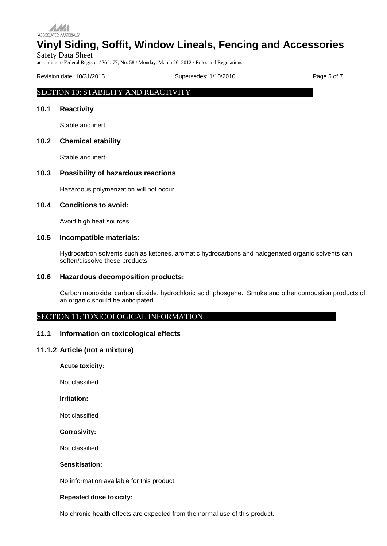

Safety Data Sheet according to Federal Register / Vol. 77, No. 58 / Monday, March 26, 2012 / Rules and Regulations

Revision date: 10/31/2015 Supersedes: 1/10/2010 Page 5 of 7

# SECTION 10: STABILITY AND REACTIVITY

# **10.1 Reactivity**

Stable and inert

# **10.2 Chemical stability**

Stable and inert

# **10.3 Possibility of hazardous reactions**

Hazardous polymerization will not occur.

#### **10.4 Conditions to avoid:**

Avoid high heat sources.

# **10.5 Incompatible materials:**

Hydrocarbon solvents such as ketones, aromatic hydrocarbons and halogenated organic solvents can soften/dissolve these products.

# **10.6 Hazardous decomposition products:**

Carbon monoxide, carbon dioxide, hydrochloric acid, phosgene. Smoke and other combustion products of an organic should be anticipated.

# SECTION 11: TOXICOLOGICAL INFORMATION

#### **11.1 Information on toxicological effects**

#### **11.1.2 Article (not a mixture)**

**Acute toxicity:**

Not classified

**Irritation:**

Not classified

**Corrosivity:**

Not classified

# **Sensitisation:**

No information available for this product.

#### **Repeated dose toxicity:**

No chronic health effects are expected from the normal use of this product.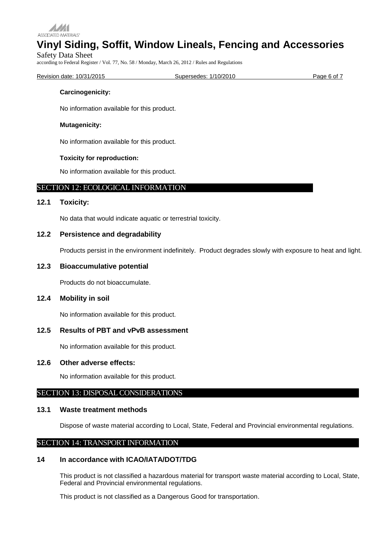

Safety Data Sheet according to Federal Register / Vol. 77, No. 58 / Monday, March 26, 2012 / Rules and Regulations

Revision date: 10/31/2015 The Supersedes: 1/10/2010 Page 6 of 7

#### **Carcinogenicity:**

No information available for this product.

# **Mutagenicity:**

No information available for this product.

# **Toxicity for reproduction:**

No information available for this product.

# SECTION 12: ECOLOGICAL INFORMATION

# **12.1 Toxicity:**

No data that would indicate aquatic or terrestrial toxicity.

# **12.2 Persistence and degradability**

Products persist in the environment indefinitely. Product degrades slowly with exposure to heat and light.

# **12.3 Bioaccumulative potential**

Products do not bioaccumulate.

# **12.4 Mobility in soil**

No information available for this product.

# **12.5 Results of PBT and vPvB assessment**

No information available for this product.

#### **12.6 Other adverse effects:**

No information available for this product.

# SECTION 13: DISPOSAL CONSIDERATIONS

#### **13.1 Waste treatment methods**

Dispose of waste material according to Local, State, Federal and Provincial environmental regulations.

# SECTION 14: TRANSPORT INFORMATION

# **14 In accordance with ICAO/IATA/DOT/TDG**

This product is not classified a hazardous material for transport waste material according to Local, State, Federal and Provincial environmental regulations.

This product is not classified as a Dangerous Good for transportation.